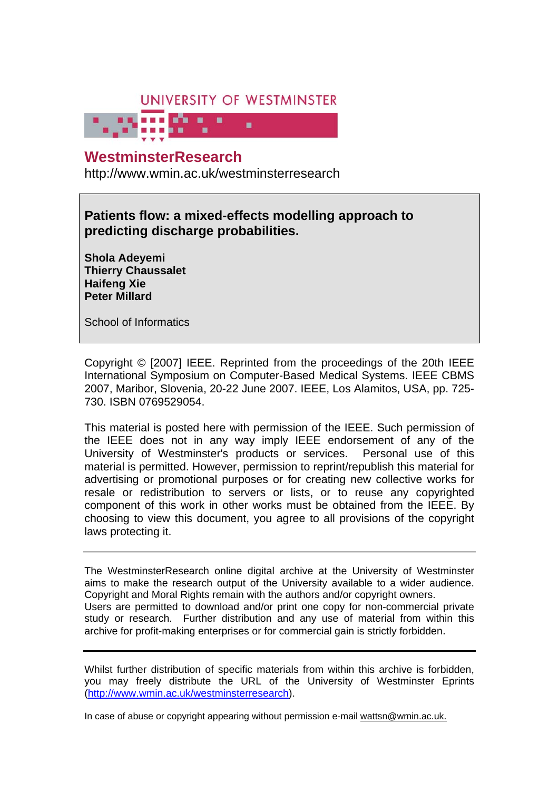# UNIVERSITY OF WESTMINSTER

# **WestminsterResearch**

http://www.wmin.ac.uk/westminsterresearch

**Patients flow: a mixed-effects modelling approach to predicting discharge probabilities.** 

**Shola Adeyemi Thierry Chaussalet Haifeng Xie Peter Millard** 

School of Informatics

Copyright © [2007] IEEE. Reprinted from the proceedings of the 20th IEEE International Symposium on Computer-Based Medical Systems. IEEE CBMS 2007, Maribor, Slovenia, 20-22 June 2007. IEEE, Los Alamitos, USA, pp. 725- 730. ISBN 0769529054.

This material is posted here with permission of the IEEE. Such permission of the IEEE does not in any way imply IEEE endorsement of any of the University of Westminster's products or services. Personal use of this material is permitted. However, permission to reprint/republish this material for advertising or promotional purposes or for creating new collective works for resale or redistribution to servers or lists, or to reuse any copyrighted component of this work in other works must be obtained from the IEEE. By choosing to view this document, you agree to all provisions of the copyright laws protecting it.

The WestminsterResearch online digital archive at the University of Westminster aims to make the research output of the University available to a wider audience. Copyright and Moral Rights remain with the authors and/or copyright owners. Users are permitted to download and/or print one copy for non-commercial private study or research. Further distribution and any use of material from within this archive for profit-making enterprises or for commercial gain is strictly forbidden.

Whilst further distribution of specific materials from within this archive is forbidden, you may freely distribute the URL of the University of Westminster Eprints (http://www.wmin.ac.uk/westminsterresearch).

In case of abuse or copyright appearing without permission e-mail wattsn@wmin.ac.uk.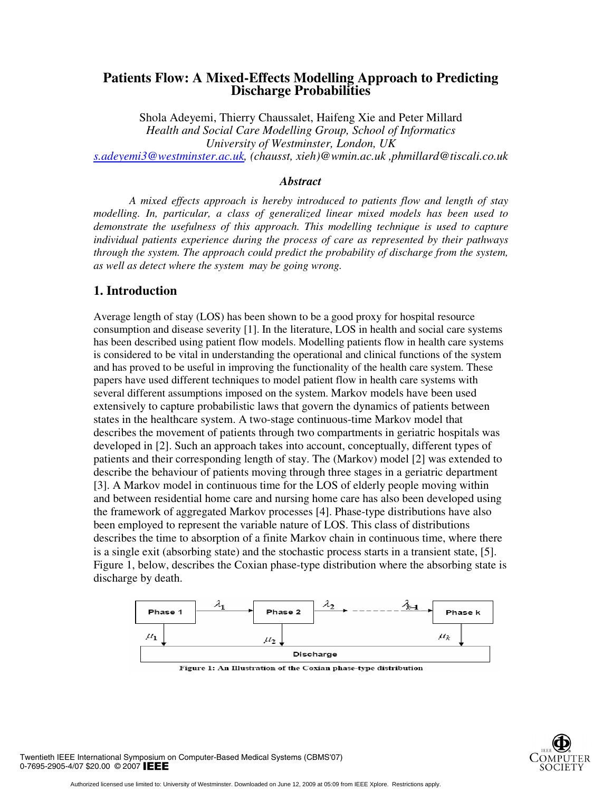### **Patients Flow: A Mixed-Effects Modelling Approach to Predicting Discharge Probabilities**

Shola Adeyemi, Thierry Chaussalet, Haifeng Xie and Peter Millard *Health and Social Care Modelling Group, School of Informatics University of Westminster, London, UK s.adeyemi3@westminster.ac.uk, (chausst, xieh)@wmin.ac.uk ,phmillard@tiscali.co.uk* 

#### *Abstract*

 *A mixed effects approach is hereby introduced to patients flow and length of stay modelling. In, particular, a class of generalized linear mixed models has been used to demonstrate the usefulness of this approach. This modelling technique is used to capture individual patients experience during the process of care as represented by their pathways through the system. The approach could predict the probability of discharge from the system, as well as detect where the system may be going wrong.* 

# **1. Introduction**

Average length of stay (LOS) has been shown to be a good proxy for hospital resource consumption and disease severity [1]. In the literature, LOS in health and social care systems has been described using patient flow models. Modelling patients flow in health care systems is considered to be vital in understanding the operational and clinical functions of the system and has proved to be useful in improving the functionality of the health care system. These papers have used different techniques to model patient flow in health care systems with several different assumptions imposed on the system. Markov models have been used extensively to capture probabilistic laws that govern the dynamics of patients between states in the healthcare system. A two-stage continuous-time Markov model that describes the movement of patients through two compartments in geriatric hospitals was developed in [2]. Such an approach takes into account, conceptually, different types of patients and their corresponding length of stay. The (Markov) model [2] was extended to describe the behaviour of patients moving through three stages in a geriatric department [3]. A Markov model in continuous time for the LOS of elderly people moving within and between residential home care and nursing home care has also been developed using the framework of aggregated Markov processes [4]. Phase-type distributions have also been employed to represent the variable nature of LOS. This class of distributions describes the time to absorption of a finite Markov chain in continuous time, where there is a single exit (absorbing state) and the stochastic process starts in a transient state, [5]. Figure 1, below, describes the Coxian phase-type distribution where the absorbing state is discharge by death.



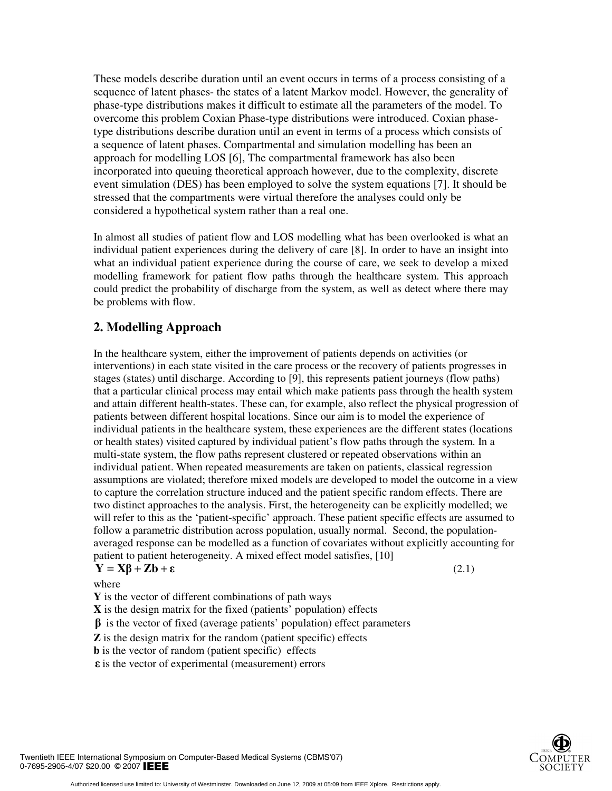These models describe duration until an event occurs in terms of a process consisting of a sequence of latent phases- the states of a latent Markov model. However, the generality of phase-type distributions makes it difficult to estimate all the parameters of the model. To overcome this problem Coxian Phase-type distributions were introduced. Coxian phasetype distributions describe duration until an event in terms of a process which consists of a sequence of latent phases. Compartmental and simulation modelling has been an approach for modelling LOS [6], The compartmental framework has also been incorporated into queuing theoretical approach however, due to the complexity, discrete event simulation (DES) has been employed to solve the system equations [7]. It should be stressed that the compartments were virtual therefore the analyses could only be considered a hypothetical system rather than a real one.

In almost all studies of patient flow and LOS modelling what has been overlooked is what an individual patient experiences during the delivery of care [8]. In order to have an insight into what an individual patient experience during the course of care, we seek to develop a mixed modelling framework for patient flow paths through the healthcare system. This approach could predict the probability of discharge from the system, as well as detect where there may be problems with flow.

### **2. Modelling Approach**

In the healthcare system, either the improvement of patients depends on activities (or interventions) in each state visited in the care process or the recovery of patients progresses in stages (states) until discharge. According to [9], this represents patient journeys (flow paths) that a particular clinical process may entail which make patients pass through the health system and attain different health-states. These can, for example, also reflect the physical progression of patients between different hospital locations. Since our aim is to model the experience of individual patients in the healthcare system, these experiences are the different states (locations or health states) visited captured by individual patient's flow paths through the system. In a multi-state system, the flow paths represent clustered or repeated observations within an individual patient. When repeated measurements are taken on patients, classical regression assumptions are violated; therefore mixed models are developed to model the outcome in a view to capture the correlation structure induced and the patient specific random effects. There are two distinct approaches to the analysis. First, the heterogeneity can be explicitly modelled; we will refer to this as the 'patient-specific' approach. These patient specific effects are assumed to follow a parametric distribution across population, usually normal. Second, the populationaveraged response can be modelled as a function of covariates without explicitly accounting for patient to patient heterogeneity. A mixed effect model satisfies, [10]

$$
\mathbf{Y} = \mathbf{X}\boldsymbol{\beta} + \mathbf{Z}\mathbf{b} + \boldsymbol{\epsilon}
$$
 (2.1)

where

**Y** is the vector of different combinations of path ways

**X** is the design matrix for the fixed (patients' population) effects

β is the vector of fixed (average patients' population) effect parameters

**Z** is the design matrix for the random (patient specific) effects

**b** is the vector of random (patient specific) effects

 $\epsilon$  is the vector of experimental (measurement) errors

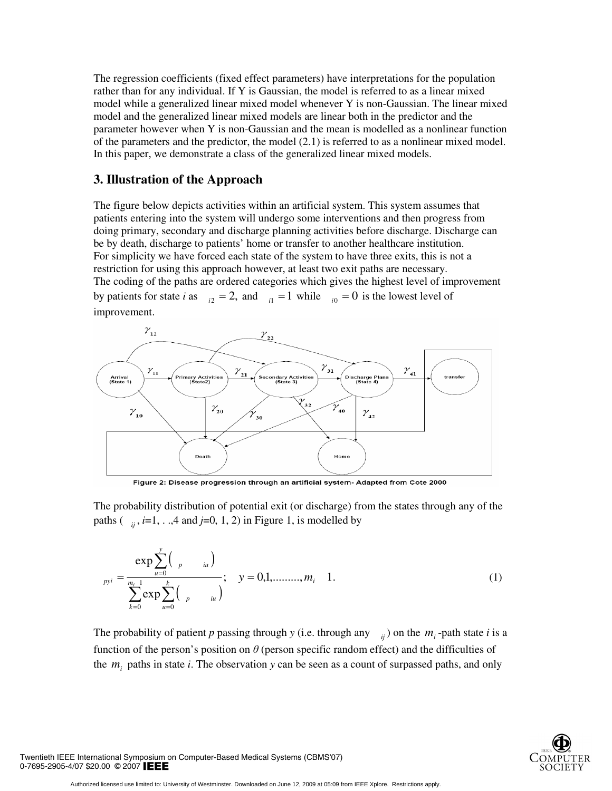The regression coefficients (fixed effect parameters) have interpretations for the population rather than for any individual. If Y is Gaussian, the model is referred to as a linear mixed model while a generalized linear mixed model whenever Y is non-Gaussian. The linear mixed model and the generalized linear mixed models are linear both in the predictor and the parameter however when Y is non-Gaussian and the mean is modelled as a nonlinear function of the parameters and the predictor, the model (2.1) is referred to as a nonlinear mixed model. In this paper, we demonstrate a class of the generalized linear mixed models.

#### **3. Illustration of the Approach**

The figure below depicts activities within an artificial system. This system assumes that patients entering into the system will undergo some interventions and then progress from doing primary, secondary and discharge planning activities before discharge. Discharge can be by death, discharge to patients' home or transfer to another healthcare institution. For simplicity we have forced each state of the system to have three exits, this is not a restriction for using this approach however, at least two exit paths are necessary. The coding of the paths are ordered categories which gives the highest level of improvement by patients for state *i* as  $\gamma_{i2} = 2$ , and  $\gamma_{i1} = 1$  while  $\gamma_{i0} = 0$  is the lowest level of improvement.



Figure 2: Disease progression through an artificial system- Adapted from Cote 2000

The probability distribution of potential exit (or discharge) from the states through any of the paths ( $\gamma_{ij}$ , *i*=1, . .,4 and *j*=0, 1, 2) in Figure 1, is modelled by

$$
\pi_{pyi} = \frac{\exp\sum_{u=0}^{y} (\theta_p - \beta_{iu})}{\sum_{k=0}^{m_i-1} \exp\sum_{u=0}^{k} (\theta_p - \beta_{iu})}; \quad y = 0,1,\dots, m_i - 1.
$$
\n(1)

The probability of patient *p* passing through *y* (i.e. through any  $\gamma_{ij}$ ) on the  $m_i$ -path state *i* is a function of the person's position on  $\theta$  (person specific random effect) and the difficulties of the *m<sup>i</sup>* paths in state *i*. The observation *y* can be seen as a count of surpassed paths, and only

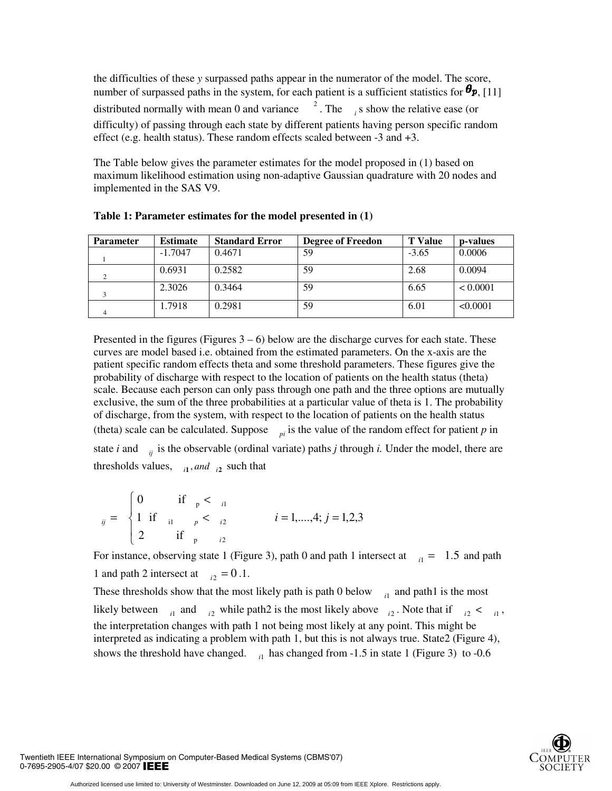the difficulties of these *y* surpassed paths appear in the numerator of the model. The score, number of surpassed paths in the system, for each patient is a sufficient statistics for  $\theta_{p}$ , [11] distributed normally with mean 0 and variance  $\sigma_{\theta}^2$ . The  $\beta_i$  s show the relative ease (or difficulty) of passing through each state by different patients having person specific random effect (e.g. health status). These random effects scaled between -3 and +3.

The Table below gives the parameter estimates for the model proposed in (1) based on maximum likelihood estimation using non-adaptive Gaussian quadrature with 20 nodes and implemented in the SAS V9.

| <b>Parameter</b>                | <b>Estimate</b> | <b>Standard Error</b> | <b>Degree of Freedon</b> | <b>T</b> Value | p-values |
|---------------------------------|-----------------|-----------------------|--------------------------|----------------|----------|
|                                 | $-1.7047$       | 0.4671                | 59                       | $-3.65$        | 0.0006   |
| $\beta_{_2}$                    | 0.6931          | 0.2582                | 59                       | 2.68           | 0.0094   |
| $\beta_{\scriptscriptstyle{3}}$ | 2.3026          | 0.3464                | 59                       | 6.65           | < 0.0001 |
| $\bm{\beta}_4$                  | 1.7918          | 0.2981                | 59                       | 6.01           | < 0.0001 |

**Table 1: Parameter estimates for the model presented in (1)** 

Presented in the figures (Figures  $3 - 6$ ) below are the discharge curves for each state. These curves are model based i.e. obtained from the estimated parameters. On the x-axis are the patient specific random effects theta and some threshold parameters. These figures give the probability of discharge with respect to the location of patients on the health status (theta) scale. Because each person can only pass through one path and the three options are mutually exclusive, the sum of the three probabilities at a particular value of theta is 1. The probability of discharge, from the system, with respect to the location of patients on the health status (theta) scale can be calculated. Suppose  $\theta_{pi}$  is the value of the random effect for patient *p* in state *i* and  $\gamma$ <sub>*ii*</sub> is the observable (ordinal variate) paths *j* through *i*. Under the model, there are

thresholds values,  $\beta_{i1}$ , and  $\beta_{i2}$  such that

$$
\gamma_{ij} = \begin{cases}\n0 & \text{if } \theta_{p} < \beta_{i1} \\
1 & \text{if } \beta_{i1} \leq \theta_{p} < \beta_{i2} \\
2 & \text{if } \theta_{p} \geq \beta_{i2}\n\end{cases}
$$
\n $i = 1, \dots, 4; j = 1, 2, 3$ 

For instance, observing state 1 (Figure 3), path 0 and path 1 intersect at  $\beta_{i1} = -1.5$  and path 1 and path 2 intersect at  $\beta_{i2} = 0.1$ .

These thresholds show that the most likely path is path 0 below  $\beta_{i1}$  and path1 is the most likely between  $\beta_{i1}$  and  $\beta_{i2}$  while path2 is the most likely above  $\beta_{i2}$ . Note that if  $\beta_{i2} < \beta_{i1}$ , the interpretation changes with path 1 not being most likely at any point. This might be interpreted as indicating a problem with path 1, but this is not always true. State2 (Figure 4), shows the threshold have changed.  $\beta_{i1}$  has changed from -1.5 in state 1 (Figure 3) to -0.6

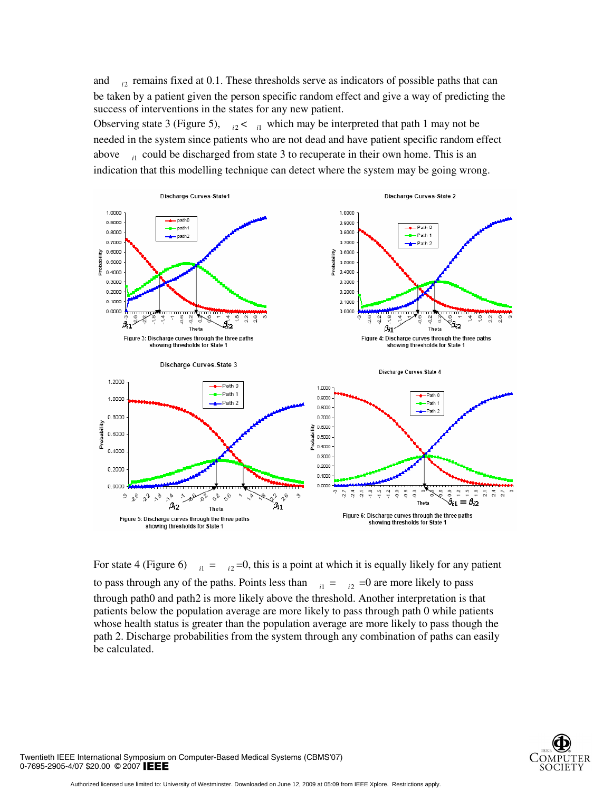and  $\beta_{i2}$  remains fixed at 0.1. These thresholds serve as indicators of possible paths that can be taken by a patient given the person specific random effect and give a way of predicting the success of interventions in the states for any new patient.

Observing state 3 (Figure 5),  $\beta_{i2} < \beta_{i1}$  which may be interpreted that path 1 may not be needed in the system since patients who are not dead and have patient specific random effect above  $\beta_{i1}$  could be discharged from state 3 to recuperate in their own home. This is an indication that this modelling technique can detect where the system may be going wrong.



For state 4 (Figure 6)  $\beta_{i1} = \beta_{i2} = 0$ , this is a point at which it is equally likely for any patient to pass through any of the paths. Points less than  $\beta_{i1} = \beta_{i2} = 0$  are more likely to pass through path0 and path2 is more likely above the threshold. Another interpretation is that patients below the population average are more likely to pass through path 0 while patients whose health status is greater than the population average are more likely to pass though the path 2. Discharge probabilities from the system through any combination of paths can easily be calculated.



Twentieth IEEE International Symposium on Computer-Based Medical Systems (CBMS'07) 0-7695-2905-4/07 \$20.00 © 2007 IEEE